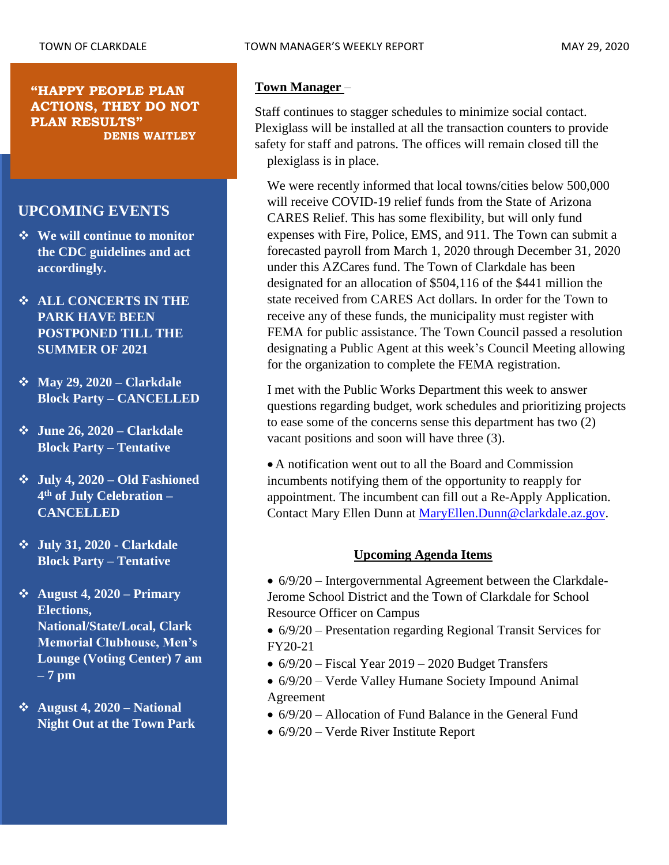#### **"HAPPY PEOPLE PLAN ACTIONS, THEY DO NOT PLAN RESULTS" DENIS WAITLEY**

# **UPCOMING EVENTS**

- ❖ **We will continue to monitor the CDC guidelines and act accordingly.**
- ❖ **ALL CONCERTS IN THE PARK HAVE BEEN POSTPONED TILL THE SUMMER OF 2021**
- ❖ **May 29, 2020 – Clarkdale Block Party – CANCELLED**
- ❖ **June 26, 2020 – Clarkdale Block Party – Tentative**
- ❖ **July 4, 2020 – Old Fashioned 4 th of July Celebration – CANCELLED**
- ❖ **July 31, 2020 - Clarkdale Block Party – Tentative**
- ❖ **August 4, 2020 – Primary Elections, National/State/Local, Clark Memorial Clubhouse, Men's Lounge (Voting Center) 7 am – 7 pm**
- ❖ **August 4, 2020 – National Night Out at the Town Park**

#### **Town Manager** –

Staff continues to stagger schedules to minimize social contact. Plexiglass will be installed at all the transaction counters to provide safety for staff and patrons. The offices will remain closed till the plexiglass is in place.

We were recently informed that local towns/cities below 500,000 will receive COVID-19 relief funds from the State of Arizona CARES Relief. This has some flexibility, but will only fund expenses with Fire, Police, EMS, and 911. The Town can submit a forecasted payroll from March 1, 2020 through December 31, 2020 under this AZCares fund. The Town of Clarkdale has been designated for an allocation of \$504,116 of the \$441 million the state received from CARES Act dollars. In order for the Town to receive any of these funds, the municipality must register with FEMA for public assistance. The Town Council passed a resolution designating a Public Agent at this week's Council Meeting allowing for the organization to complete the FEMA registration.

I met with the Public Works Department this week to answer questions regarding budget, work schedules and prioritizing projects to ease some of the concerns sense this department has two (2) vacant positions and soon will have three (3).

• A notification went out to all the Board and Commission incumbents notifying them of the opportunity to reapply for appointment. The incumbent can fill out a Re-Apply Application. Contact Mary Ellen Dunn at [MaryEllen.Dunn@clarkdale.az.gov.](mailto:MaryEllen.Dunn@clarkdale.az.gov)

# **Upcoming Agenda Items**

• 6/9/20 – Intergovernmental Agreement between the Clarkdale-Jerome School District and the Town of Clarkdale for School Resource Officer on Campus

• 6/9/20 – Presentation regarding Regional Transit Services for FY20-21

- $\bullet$  6/9/20 Fiscal Year 2019 2020 Budget Transfers
- 6/9/20 Verde Valley Humane Society Impound Animal Agreement
- 6/9/20 Allocation of Fund Balance in the General Fund
- $6/9/20$  Verde River Institute Report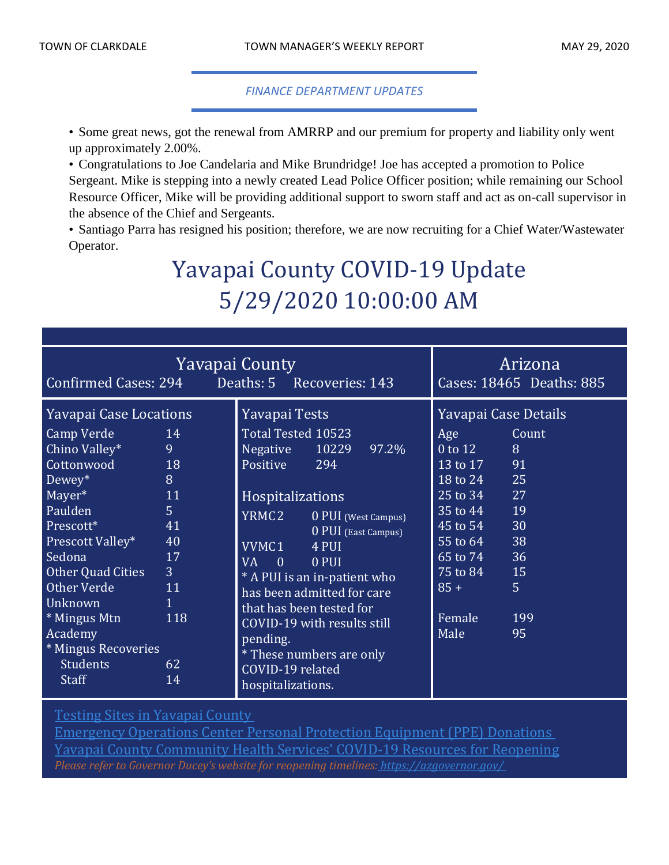### *FINANCE DEPARTMENT UPDATES*

• Some great news, got the renewal from AMRRP and our premium for property and liability only went up approximately 2.00%.

• Congratulations to Joe Candelaria and Mike Brundridge! Joe has accepted a promotion to Police Sergeant. Mike is stepping into a newly created Lead Police Officer position; while remaining our School Resource Officer, Mike will be providing additional support to sworn staff and act as on-call supervisor in the absence of the Chief and Sergeants.

• Santiago Parra has resigned his position; therefore, we are now recruiting for a Chief Water/Wastewater Operator.

# Yavapai County COVID-19 Update 5/29/2020 10:00:00 AM

| Yavapai County<br>Deaths: 5 Recoveries: 143<br>Confirmed Cases: 294                                                                                                                                                                                                                         |                                                                                                                         |                                                                                                                                                                                                                                                                                                                                                                                 |                                            | Arizona<br>Cases: 18465 Deaths: 885                                                                                                                                        |                                                                                           |
|---------------------------------------------------------------------------------------------------------------------------------------------------------------------------------------------------------------------------------------------------------------------------------------------|-------------------------------------------------------------------------------------------------------------------------|---------------------------------------------------------------------------------------------------------------------------------------------------------------------------------------------------------------------------------------------------------------------------------------------------------------------------------------------------------------------------------|--------------------------------------------|----------------------------------------------------------------------------------------------------------------------------------------------------------------------------|-------------------------------------------------------------------------------------------|
| Yavapai Case Locations<br>Camp Verde<br>Chino Valley*<br>Cottonwood<br>$Dewey^*$<br>Mayer*<br>Paulden<br>Prescott*<br>Prescott Valley*<br>Sedona<br><b>Other Quad Cities</b><br>Other Verde<br>Unknown<br>* Mingus Mtn<br>Academy<br>* Mingus Recoveries<br><b>Students</b><br><b>Staff</b> | 14<br>9<br>18<br>8<br>11<br>$\overline{5}$<br>41<br>40<br>17<br>$\overline{3}$<br>11<br>$\mathbf{1}$<br>118<br>62<br>14 | Yavapai Tests<br>Total Tested 10523<br>Negative 10229 97.2%<br>Positive<br>294<br>Hospitalizations<br>YRMC2<br>VVMC1<br>4 PUI<br><b>VA</b><br>$\overline{0}$<br>0 PUI<br>* A PUI is an in-patient who<br>has been admitted for care<br>that has been tested for<br>COVID-19 with results still<br>pending.<br>* These numbers are only<br>COVID-19 related<br>hospitalizations. | 0 PUI (West Campus)<br>0 PUI (East Campus) | Yavapai Case Details<br>Age<br>$0$ to $12$<br>13 to 17<br>18 to 24<br>25 to 34<br>35 to 44<br>45 to 54<br>$55$ to $64$<br>65 to 74<br>75 to 84<br>$85 +$<br>Female<br>Male | Count<br>8<br>91<br>25<br>27<br>19<br>30<br>38<br>36<br>15<br>5 <sup>1</sup><br>199<br>95 |

Testing Sites in [Yavapai](http://www.yavapai.us/Portals/39/COVID-19/TestingSitesinYavapaiCounty.pdf) County

[Emergency](http://www.yavapai.us/Portals/39/PPE%20Donations.pdf) Operations Center Personal Protection Equipment (PPE) Donations Yavapai County [Community](https://www.yavapai.us/chs/COVID-19) Health Services' COVID-19 Resources for Reopening *Please refer to Governor Ducey's website for reopening timelines: <https://azgovernor.gov/>*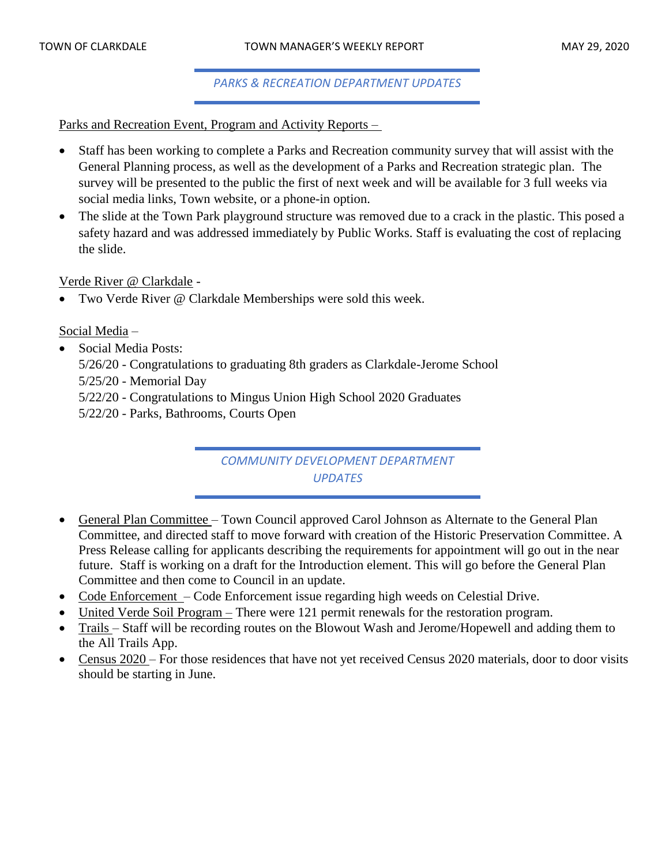*PARKS & RECREATION DEPARTMENT UPDATES*

Parks and Recreation Event, Program and Activity Reports –

- Staff has been working to complete a Parks and Recreation community survey that will assist with the General Planning process, as well as the development of a Parks and Recreation strategic plan. The survey will be presented to the public the first of next week and will be available for 3 full weeks via social media links, Town website, or a phone-in option.
- The slide at the Town Park playground structure was removed due to a crack in the plastic. This posed a safety hazard and was addressed immediately by Public Works. Staff is evaluating the cost of replacing the slide.

Verde River @ Clarkdale -

• Two Verde River @ Clarkdale Memberships were sold this week.

Social Media –

- Social Media Posts:
	- 5/26/20 Congratulations to graduating 8th graders as Clarkdale-Jerome School
	- 5/25/20 Memorial Day
	- 5/22/20 Congratulations to Mingus Union High School 2020 Graduates
	- 5/22/20 Parks, Bathrooms, Courts Open

*COMMUNITY DEVELOPMENT DEPARTMENT UPDATES*

- General Plan Committee Town Council approved Carol Johnson as Alternate to the General Plan Committee, and directed staff to move forward with creation of the Historic Preservation Committee. A Press Release calling for applicants describing the requirements for appointment will go out in the near future. Staff is working on a draft for the Introduction element. This will go before the General Plan Committee and then come to Council in an update.
- Code Enforcement Code Enforcement issue regarding high weeds on Celestial Drive.
- United Verde Soil Program There were 121 permit renewals for the restoration program.
- Trails Staff will be recording routes on the Blowout Wash and Jerome/Hopewell and adding them to the All Trails App.
- Census 2020 For those residences that have not yet received Census 2020 materials, door to door visits should be starting in June.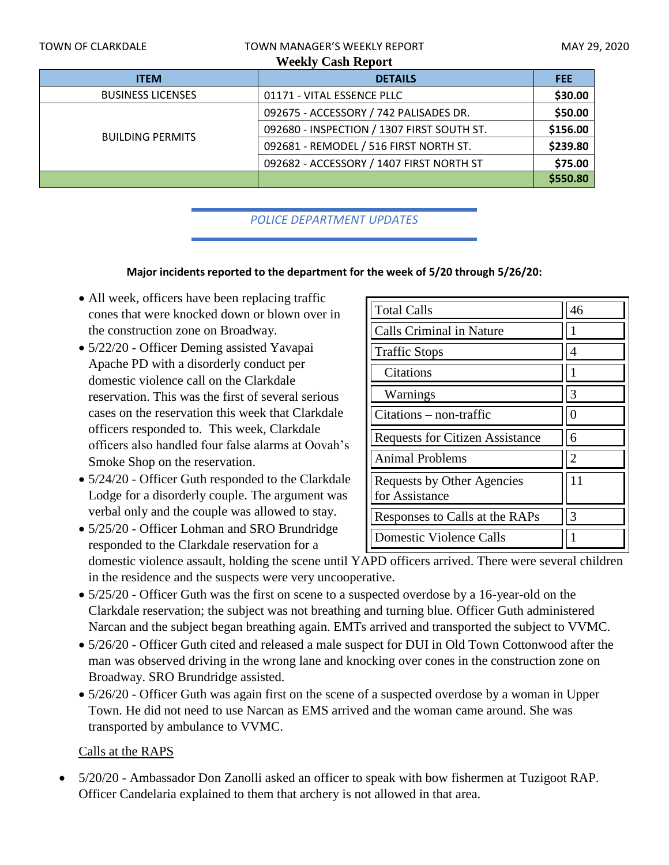| <b>TOWN OF CLARKDALE</b>  | <b>TOWN MANAGER'S WEEKLY REPORT</b>        | MAY 29, 2020 |  |  |  |  |  |
|---------------------------|--------------------------------------------|--------------|--|--|--|--|--|
| <b>Weekly Cash Report</b> |                                            |              |  |  |  |  |  |
| <b>ITEM</b>               | <b>DETAILS</b>                             | <b>FEE</b>   |  |  |  |  |  |
| <b>BUSINESS LICENSES</b>  | 01171 - VITAL ESSENCE PLLC                 | \$30.00      |  |  |  |  |  |
|                           | 092675 - ACCESSORY / 742 PALISADES DR.     | \$50.00      |  |  |  |  |  |
| <b>BUILDING PERMITS</b>   | 092680 - INSPECTION / 1307 FIRST SOUTH ST. | \$156.00     |  |  |  |  |  |
|                           | 092681 - REMODEL / 516 FIRST NORTH ST.     | \$239.80     |  |  |  |  |  |
|                           | 092682 - ACCESSORY / 1407 FIRST NORTH ST   | \$75.00      |  |  |  |  |  |
|                           |                                            | \$550.80     |  |  |  |  |  |

*POLICE DEPARTMENT UPDATES*

#### **Major incidents reported to the department for the week of 5/20 through 5/26/20:**

- All week, officers have been replacing traffic cones that were knocked down or blown over in the construction zone on Broadway.
- 5/22/20 Officer Deming assisted Yavapai Apache PD with a disorderly conduct per domestic violence call on the Clarkdale reservation. This was the first of several serious cases on the reservation this week that Clarkdale officers responded to. This week, Clarkdale officers also handled four false alarms at Oovah's Smoke Shop on the reservation.
- 5/24/20 Officer Guth responded to the Clarkdale Lodge for a disorderly couple. The argument was verbal only and the couple was allowed to stay.
- 5/25/20 Officer Lohman and SRO Brundridge responded to the Clarkdale reservation for a

| <b>Total Calls</b>                           | 46            |
|----------------------------------------------|---------------|
| <b>Calls Criminal in Nature</b>              |               |
| <b>Traffic Stops</b>                         |               |
| Citations                                    |               |
| Warnings                                     | 3             |
| $Citations - non-traffic$                    | $\mathcal{O}$ |
| <b>Requests for Citizen Assistance</b>       | 6             |
| <b>Animal Problems</b>                       | 2             |
| Requests by Other Agencies<br>for Assistance | 11            |
| Responses to Calls at the RAPs               | 3             |
| Domestic Violence Calls                      |               |

domestic violence assault, holding the scene until YAPD officers arrived. There were several children in the residence and the suspects were very uncooperative.

- 5/25/20 Officer Guth was the first on scene to a suspected overdose by a 16-year-old on the Clarkdale reservation; the subject was not breathing and turning blue. Officer Guth administered Narcan and the subject began breathing again. EMTs arrived and transported the subject to VVMC.
- 5/26/20 Officer Guth cited and released a male suspect for DUI in Old Town Cottonwood after the man was observed driving in the wrong lane and knocking over cones in the construction zone on Broadway. SRO Brundridge assisted.
- 5/26/20 Officer Guth was again first on the scene of a suspected overdose by a woman in Upper Town. He did not need to use Narcan as EMS arrived and the woman came around. She was transported by ambulance to VVMC.

# Calls at the RAPS

• 5/20/20 - Ambassador Don Zanolli asked an officer to speak with bow fishermen at Tuzigoot RAP. Officer Candelaria explained to them that archery is not allowed in that area.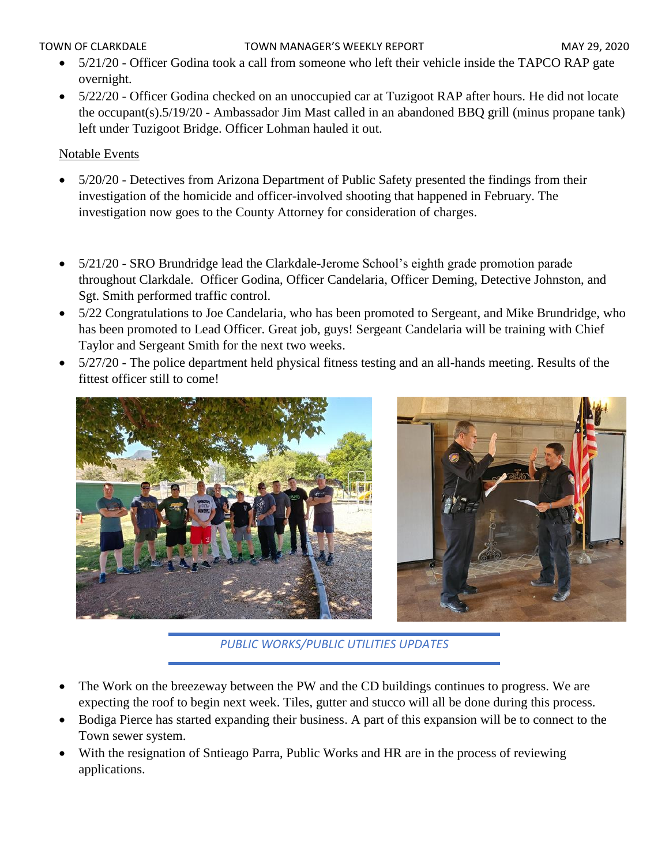#### TOWN OF CLARKDALE TOWN MANAGER'S WEEKLY REPORT TOWN OF CLARKDALE

- 5/21/20 Officer Godina took a call from someone who left their vehicle inside the TAPCO RAP gate overnight.
- 5/22/20 Officer Godina checked on an unoccupied car at Tuzigoot RAP after hours. He did not locate the occupant(s).5/19/20 - Ambassador Jim Mast called in an abandoned BBQ grill (minus propane tank) left under Tuzigoot Bridge. Officer Lohman hauled it out.

# Notable Events

- 5/20/20 Detectives from Arizona Department of Public Safety presented the findings from their investigation of the homicide and officer-involved shooting that happened in February. The investigation now goes to the County Attorney for consideration of charges.
- 5/21/20 SRO Brundridge lead the Clarkdale-Jerome School's eighth grade promotion parade throughout Clarkdale. Officer Godina, Officer Candelaria, Officer Deming, Detective Johnston, and Sgt. Smith performed traffic control.
- 5/22 Congratulations to Joe Candelaria, who has been promoted to Sergeant, and Mike Brundridge, who has been promoted to Lead Officer. Great job, guys! Sergeant Candelaria will be training with Chief Taylor and Sergeant Smith for the next two weeks.
- 5/27/20 The police department held physical fitness testing and an all-hands meeting. Results of the fittest officer still to come!



*PUBLIC WORKS/PUBLIC UTILITIES UPDATES*

- The Work on the breezeway between the PW and the CD buildings continues to progress. We are expecting the roof to begin next week. Tiles, gutter and stucco will all be done during this process.
- Bodiga Pierce has started expanding their business. A part of this expansion will be to connect to the Town sewer system.
- With the resignation of Sntieago Parra, Public Works and HR are in the process of reviewing applications.